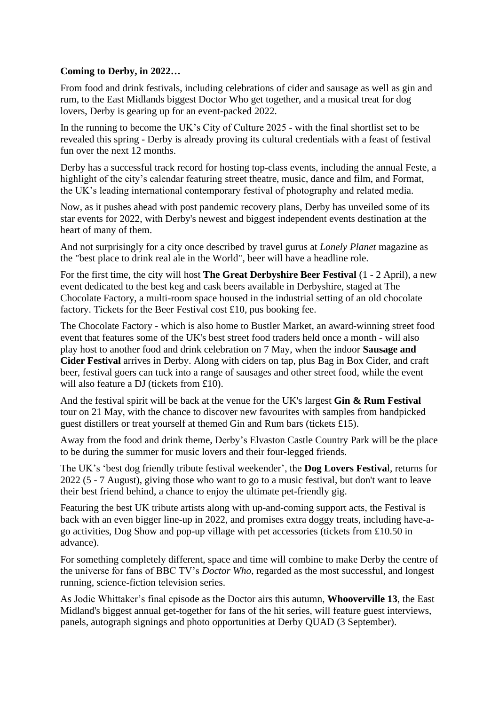## **Coming to Derby, in 2022…**

From food and drink festivals, including celebrations of cider and sausage as well as gin and rum, to the East Midlands biggest Doctor Who get together, and a musical treat for dog lovers, Derby is gearing up for an event-packed 2022.

In the running to become the UK's City of Culture 2025 - with the final shortlist set to be revealed this spring - Derby is already proving its cultural credentials with a feast of festival fun over the next 12 months.

Derby has a successful track record for hosting top-class events, including the annual Feste, a highlight of the city's calendar featuring street theatre, music, dance and film, and Format, the UK's leading international contemporary festival of photography and related media.

Now, as it pushes ahead with post pandemic recovery plans, Derby has unveiled some of its star events for 2022, with Derby's newest and biggest independent events destination at the heart of many of them.

And not surprisingly for a city once described by travel gurus at *Lonely Planet* magazine as the "best place to drink real ale in the World", beer will have a headline role.

For the first time, the city will host **The Great Derbyshire Beer Festival** (1 - 2 April), a new event dedicated to the best keg and cask beers available in Derbyshire, staged at The Chocolate Factory, a multi-room space housed in the industrial setting of an old chocolate factory. Tickets for the Beer Festival cost £10, pus booking fee.

The Chocolate Factory - which is also home to Bustler Market, an award-winning street food event that features some of the UK's best street food traders held once a month - will also play host to another food and drink celebration on 7 May, when the indoor **Sausage and Cider Festival** arrives in Derby. Along with ciders on tap, plus Bag in Box Cider, and craft beer, festival goers can tuck into a range of sausages and other street food, while the event will also feature a DJ (tickets from £10).

And the festival spirit will be back at the venue for the UK's largest **Gin & Rum Festival** tour on 21 May, with the chance to discover new favourites with samples from handpicked guest distillers or treat yourself at themed Gin and Rum bars (tickets £15).

Away from the food and drink theme, Derby's Elvaston Castle Country Park will be the place to be during the summer for music lovers and their four-legged friends.

The UK's 'best dog friendly tribute festival weekender', the **Dog Lovers Festiva**l, returns for 2022 (5 - 7 August), giving those who want to go to a music festival, but don't want to leave their best friend behind, a chance to enjoy the ultimate pet-friendly gig.

Featuring the best UK tribute artists along with up-and-coming support acts, the Festival is back with an even bigger line-up in 2022, and promises extra doggy treats, including have-ago activities, Dog Show and pop-up village with pet accessories (tickets from £10.50 in advance).

For something completely different, space and time will combine to make Derby the centre of the universe for fans of BBC TV's *Doctor Who*, regarded as the most successful, and longest running, science-fiction television series.

As Jodie Whittaker's final episode as the Doctor airs this autumn, **Whooverville 13**, the East Midland's biggest annual get-together for fans of the hit series, will feature guest interviews, panels, autograph signings and photo opportunities at Derby QUAD (3 September).